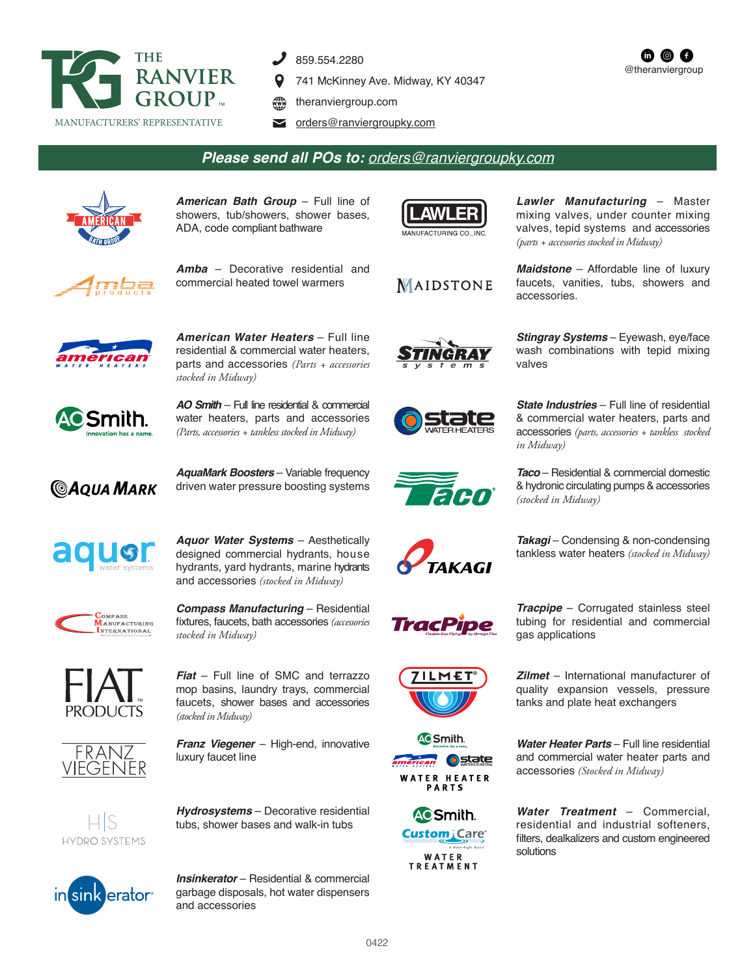

- 859.554.2280
- 741 McKinney Ave. Midway, KY 40347
- theranviergroup.com
- orders@ranviergroupky.com

## *Please send all POs to: orders@ranviergroupky.com*



*American Bath Group* – Full line of showers, tub/showers, shower bases, ADA, code compliant bathware





*Amba* – Decorative residential and commercial heated towel warmers



*American Water Heaters* – Full line residential & commercial water heaters, parts and accessories *(Parts + accessories stocked in Midway)*



*AO Smith* – Full line residential & commercial water heaters, parts and accessories *(Parts, accessories + tankless stocked in Midway)*



*AquaMark Boosters* – Variable frequency driven water pressure boosting systems



*Aquor Water Systems* – Aesthetically designed commercial hydrants, house hydrants, yard hydrants, marine hydrants and accessories *(stocked in Midway)*



*Compass Manufacturing* – Residential fixtures, faucets, bath accessories *(accessories stocked in Midway)*



*Fiat* – Full line of SMC and terrazzo mop basins, laundry trays, commercial faucets, shower bases and accessories *(stocked in Midway)*



*Franz Viegener* – High-end, innovative luxury faucet line



*Hydrosystems* – Decorative residential tubs, shower bases and walk-in tubs



*Insinkerator* – Residential & commercial garbage disposals, hot water dispensers and accessories





















*Lawler Manufacturing* – Master mixing valves, under counter mixing valves, tepid systems and accessories *(parts + accessories stocked in Midway)*

@theranviergroup

Œ

**m** @

*Maidstone* – Affordable line of luxury faucets, vanities, tubs, showers and accessories.

*Stingray Systems* – Eyewash, eye/face wash combinations with tepid mixing valves

*State Industries* – Full line of residential & commercial water heaters, parts and accessories *(parts, accessories + tankless stocked in Midway)*

*Taco* – Residential & commercial domestic & hydronic circulating pumps & accessories *(stocked in Midway)*

*Takagi* – Condensing & non-condensing tankless water heaters *(stocked in Midway)*

*Tracpipe* – Corrugated stainless steel tubing for residential and commercial gas applications

*Zilmet* – International manufacturer of quality expansion vessels, pressure tanks and plate heat exchangers

*Water Heater Parts* – Full line residential and commercial water heater parts and accessories *(Stocked in Midway)*

*Water Treatment* – Commercial, residential and industrial softeners, filters, dealkalizers and custom engineered solutions